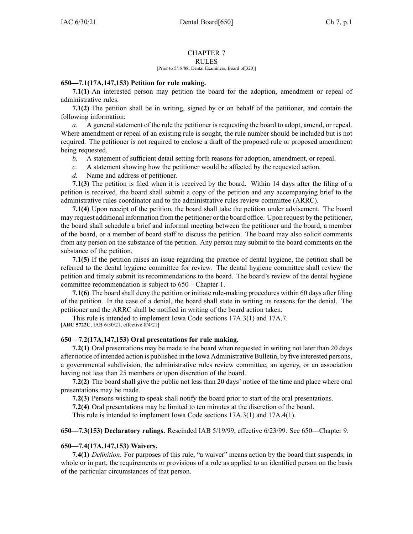# CHAPTER 7

#### RULES

#### [Prior to 5/18/88, Dental Examiners, Board of[320]]

## **650—7.1(17A,147,153) Petition for rule making.**

**7.1(1)** An interested person may petition the board for the adoption, amendment or repeal of administrative rules.

**7.1(2)** The petition shall be in writing, signed by or on behalf of the petitioner, and contain the following information:

*a.* A general statement of the rule the petitioner is requesting the board to adopt, amend, or repeal. Where amendment or repeal of an existing rule is sought, the rule number should be included but is not required. The petitioner is not required to enclose <sup>a</sup> draft of the proposed rule or proposed amendment being requested.

- *b.* A statement of sufficient detail setting forth reasons for adoption, amendment, or repeal.
- *c.* A statement showing how the petitioner would be affected by the requested action.
- *d.* Name and address of petitioner.

**7.1(3)** The petition is filed when it is received by the board. Within 14 days after the filing of <sup>a</sup> petition is received, the board shall submit <sup>a</sup> copy of the petition and any accompanying brief to the administrative rules coordinator and to the administrative rules review committee (ARRC).

**7.1(4)** Upon receipt of the petition, the board shall take the petition under advisement. The board may reques<sup>t</sup> additional information from the petitioner or the board office. Upon reques<sup>t</sup> by the petitioner, the board shall schedule <sup>a</sup> brief and informal meeting between the petitioner and the board, <sup>a</sup> member of the board, or <sup>a</sup> member of board staff to discuss the petition. The board may also solicit comments from any person on the substance of the petition. Any person may submit to the board comments on the substance of the petition.

**7.1(5)** If the petition raises an issue regarding the practice of dental hygiene, the petition shall be referred to the dental hygiene committee for review. The dental hygiene committee shall review the petition and timely submit its recommendations to the board. The board's review of the dental hygiene committee recommendation is subject to [650—Chapter](https://www.legis.iowa.gov/docs/iac/chapter/650.1.pdf) 1.

**7.1(6)** The board shall deny the petition or initiate rule-making procedures within 60 days after filing of the petition. In the case of <sup>a</sup> denial, the board shall state in writing its reasons for the denial. The petitioner and the ARRC shall be notified in writing of the board action taken.

This rule is intended to implement Iowa Code sections [17A.3\(1\)](https://www.legis.iowa.gov/docs/ico/section/17A.3.pdf) and [17A.7](https://www.legis.iowa.gov/docs/ico/section/17A.7.pdf). [**ARC [5722C](https://www.legis.iowa.gov/docs/aco/arc/5722C.pdf)**, IAB 6/30/21, effective 8/4/21]

## **650—7.2(17A,147,153) Oral presentations for rule making.**

**7.2(1)** Oral presentations may be made to the board when requested in writing not later than 20 days after notice of intended action is published in the Iowa Administrative Bulletin, by five interested persons, <sup>a</sup> governmental subdivision, the administrative rules review committee, an agency, or an association having not less than 25 members or upon discretion of the board.

**7.2(2)** The board shall give the public not less than 20 days' notice of the time and place where oral presentations may be made.

**7.2(3)** Persons wishing to speak shall notify the board prior to start of the oral presentations.

**7.2(4)** Oral presentations may be limited to ten minutes at the discretion of the board.

This rule is intended to implement Iowa Code sections [17A.3\(1\)](https://www.legis.iowa.gov/docs/ico/section/17A.3.pdf) and [17A.4\(1\)](https://www.legis.iowa.gov/docs/ico/section/17A.4.pdf).

## **650—7.3(153) Declaratory rulings.** Rescinded IAB [5/19/99](https://www.legis.iowa.gov/docs/aco/bulletin/05-19-1999.pdf), effective 6/23/99. See [650—Chapter](https://www.legis.iowa.gov/docs/iac/chapter/650.9.pdf) 9.

## **650—7.4(17A,147,153) Waivers.**

**7.4(1)** *Definition.* For purposes of this rule, "a waiver" means action by the board that suspends, in whole or in part, the requirements or provisions of <sup>a</sup> rule as applied to an identified person on the basis of the particular circumstances of that person.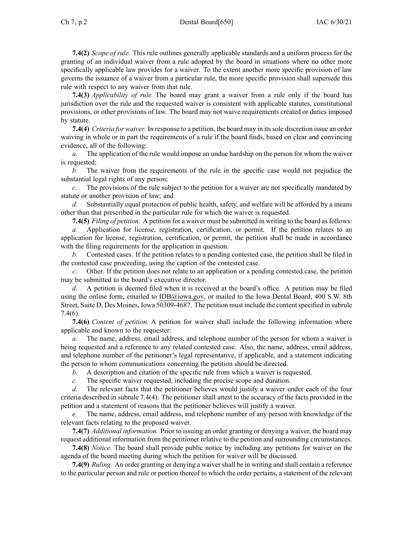## Ch 7, p.2 Dental Board[650] IAC 6/30/21

**7.4(2)** *Scope of rule.* This rule outlines generally applicable standards and <sup>a</sup> uniform process for the granting of an individual waiver from <sup>a</sup> rule adopted by the board in situations where no other more specifically applicable law provides for <sup>a</sup> waiver. To the extent another more specific provision of law governs the issuance of <sup>a</sup> waiver from <sup>a</sup> particular rule, the more specific provision shall supersede this rule with respec<sup>t</sup> to any waiver from that rule.

**7.4(3)** *Applicability of rule.* The board may gran<sup>t</sup> <sup>a</sup> waiver from <sup>a</sup> rule only if the board has jurisdiction over the rule and the requested waiver is consistent with applicable statutes, constitutional provisions, or other provisions of law. The board may not waive requirements created or duties imposed by statute.

**7.4(4)** *Criteria for waiver.* In response to <sup>a</sup> petition, the board may in itssole discretion issue an order waiving in whole or in par<sup>t</sup> the requirements of <sup>a</sup> rule if the board finds, based on clear and convincing evidence, all of the following:

*a.* The application of the rule would impose an undue hardship on the person for whom the waiver is requested;

*b.* The waiver from the requirements of the rule in the specific case would not prejudice the substantial legal rights of any person;

*c.* The provisions of the rule subject to the petition for <sup>a</sup> waiver are not specifically mandated by statute or another provision of law; and

*d.* Substantially equal protection of public health, safety, and welfare will be afforded by <sup>a</sup> means other than that prescribed in the particular rule for which the waiver is requested.

**7.4(5)** *Filing of petition.* A petition for <sup>a</sup> waiver must be submitted in writing to the board asfollows:

*a.* Application for license, registration, certification, or permit. If the petition relates to an application for license, registration, certification, or permit, the petition shall be made in accordance with the filing requirements for the application in question.

*b.* Contested cases. If the petition relates to <sup>a</sup> pending contested case, the petition shall be filed in the contested case proceeding, using the caption of the contested case.

*c.* Other. If the petition does not relate to an application or <sup>a</sup> pending contested case, the petition may be submitted to the board's executive director.

*d.* A petition is deemed filed when it is received at the board's office. A petition may be filed using the online form, emailed to [IDB@iowa.gov](mailto:IDB@iowa.gov), or mailed to the Iowa Dental Board, 400 S.W. 8th Street, Suite D, Des Moines, Iowa 50309-4687. The petition must include the content specified in [subrule](https://www.legis.iowa.gov/docs/iac/rule/650.7.4.pdf) [7.4\(6\)](https://www.legis.iowa.gov/docs/iac/rule/650.7.4.pdf).

**7.4(6)** *Content of petition.* A petition for waiver shall include the following information where applicable and known to the requester:

*a.* The name, address, email address, and telephone number of the person for whom <sup>a</sup> waiver is being requested and <sup>a</sup> reference to any related contested case. Also, the name, address, email address, and telephone number of the petitioner's legal representative, if applicable, and <sup>a</sup> statement indicating the person to whom communications concerning the petition should be directed.

*b.* A description and citation of the specific rule from which <sup>a</sup> waiver is requested.

*c.* The specific waiver requested, including the precise scope and duration.

*d.* The relevant facts that the petitioner believes would justify <sup>a</sup> waiver under each of the four criteria described in subrule [7.4\(4\)](https://www.legis.iowa.gov/docs/iac/rule/650.7.4.pdf). The petitioner shall attest to the accuracy of the facts provided in the petition and <sup>a</sup> statement of reasons that the petitioner believes will justify <sup>a</sup> waiver.

*e.* The name, address, email address, and telephone number of any person with knowledge of the relevant facts relating to the proposed waiver.

**7.4(7)** *Additional information.* Prior to issuing an order granting or denying <sup>a</sup> waiver, the board may reques<sup>t</sup> additional information from the petitioner relative to the petition and surrounding circumstances.

**7.4(8)** *Notice.* The board shall provide public notice by including any petitions for waiver on the agenda of the board meeting during which the petition for waiver will be discussed.

**7.4(9)** *Ruling.* An order granting or denying <sup>a</sup> waivershall be in writing and shall contain <sup>a</sup> reference to the particular person and rule or portion thereof to which the order pertains, <sup>a</sup> statement of the relevant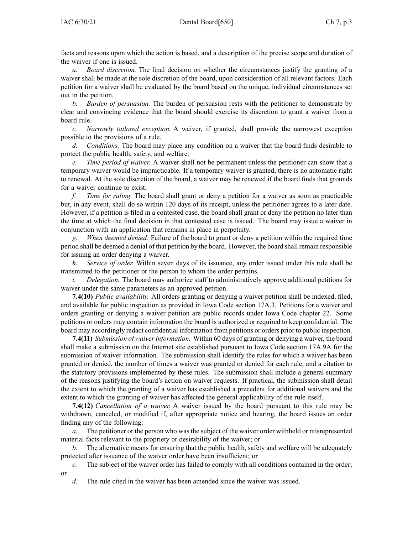facts and reasons upon which the action is based, and <sup>a</sup> description of the precise scope and duration of the waiver if one is issued.

*a. Board discretion.* The final decision on whether the circumstances justify the granting of <sup>a</sup> waiver shall be made at the sole discretion of the board, upon consideration of all relevant factors. Each petition for <sup>a</sup> waiver shall be evaluated by the board based on the unique, individual circumstances set out in the petition.

*b. Burden of persuasion.* The burden of persuasion rests with the petitioner to demonstrate by clear and convincing evidence that the board should exercise its discretion to gran<sup>t</sup> <sup>a</sup> waiver from <sup>a</sup> board rule.

*c. Narrowly tailored exception.* A waiver, if granted, shall provide the narrowest exception possible to the provisions of <sup>a</sup> rule.

*d. Conditions.* The board may place any condition on <sup>a</sup> waiver that the board finds desirable to protect the public health, safety, and welfare.

*e. Time period of waiver.* A waiver shall not be permanen<sup>t</sup> unless the petitioner can show that <sup>a</sup> temporary waiver would be impracticable. If <sup>a</sup> temporary waiver is granted, there is no automatic right to renewal. At the sole discretion of the board, <sup>a</sup> waiver may be renewed if the board finds that grounds for <sup>a</sup> waiver continue to exist.

*f. Time for ruling.* The board shall gran<sup>t</sup> or deny <sup>a</sup> petition for <sup>a</sup> waiver as soon as practicable but, in any event, shall do so within 120 days of its receipt, unless the petitioner agrees to <sup>a</sup> later date. However, if <sup>a</sup> petition is filed in <sup>a</sup> contested case, the board shall gran<sup>t</sup> or deny the petition no later than the time at which the final decision in that contested case is issued. The board may issue <sup>a</sup> waiver in conjunction with an application that remains in place in perpetuity.

*When deemed denied.* Failure of the board to grant or deny a petition within the required time period shall be deemed <sup>a</sup> denial of that petition by the board. However, the board shall remain responsible for issuing an order denying <sup>a</sup> waiver.

*h. Service of order.* Within seven days of its issuance, any order issued under this rule shall be transmitted to the petitioner or the person to whom the order pertains.

*i. Delegation.* The board may authorize staff to administratively approve additional petitions for waiver under the same parameters as an approved petition.

**7.4(10)** *Public availability.* All orders granting or denying <sup>a</sup> waiver petition shall be indexed, filed, and available for public inspection as provided in Iowa Code section [17A.3](https://www.legis.iowa.gov/docs/ico/section/17A.3.pdf). Petitions for <sup>a</sup> waiver and orders granting or denying <sup>a</sup> waiver petition are public records under Iowa Code chapter [22](https://www.legis.iowa.gov/docs/ico/chapter/22.pdf). Some petitions or orders may contain information the board is authorized or required to keep confidential. The board may accordingly redact confidential information from petitions or orders prior to public inspection.

**7.4(11)** *Submission of waiverinformation.* Within 60 days of granting or denying <sup>a</sup> waiver, the board shall make <sup>a</sup> submission on the Internet site established pursuan<sup>t</sup> to Iowa Code section [17A.9A](https://www.legis.iowa.gov/docs/ico/section/17A.9A.pdf) for the submission of waiver information. The submission shall identify the rules for which <sup>a</sup> waiver has been granted or denied, the number of times <sup>a</sup> waiver was granted or denied for each rule, and <sup>a</sup> citation to the statutory provisions implemented by these rules. The submission shall include <sup>a</sup> general summary of the reasons justifying the board's action on waiver requests. If practical, the submission shall detail the extent to which the granting of <sup>a</sup> waiver has established <sup>a</sup> precedent for additional waivers and the extent to which the granting of waiver has affected the general applicability of the rule itself.

**7.4(12)** *Cancellation of <sup>a</sup> waiver.* A waiver issued by the board pursuan<sup>t</sup> to this rule may be withdrawn, canceled, or modified if, after appropriate notice and hearing, the board issues an order finding any of the following:

*a.* The petitioner or the person who was the subject of the waiver order withheld or misrepresented material facts relevant to the propriety or desirability of the waiver; or

*b.* The alternative means for ensuring that the public health, safety and welfare will be adequately protected after issuance of the waiver order have been insufficient; or

*c.* The subject of the waiver order has failed to comply with all conditions contained in the order; or

*d.* The rule cited in the waiver has been amended since the waiver was issued.